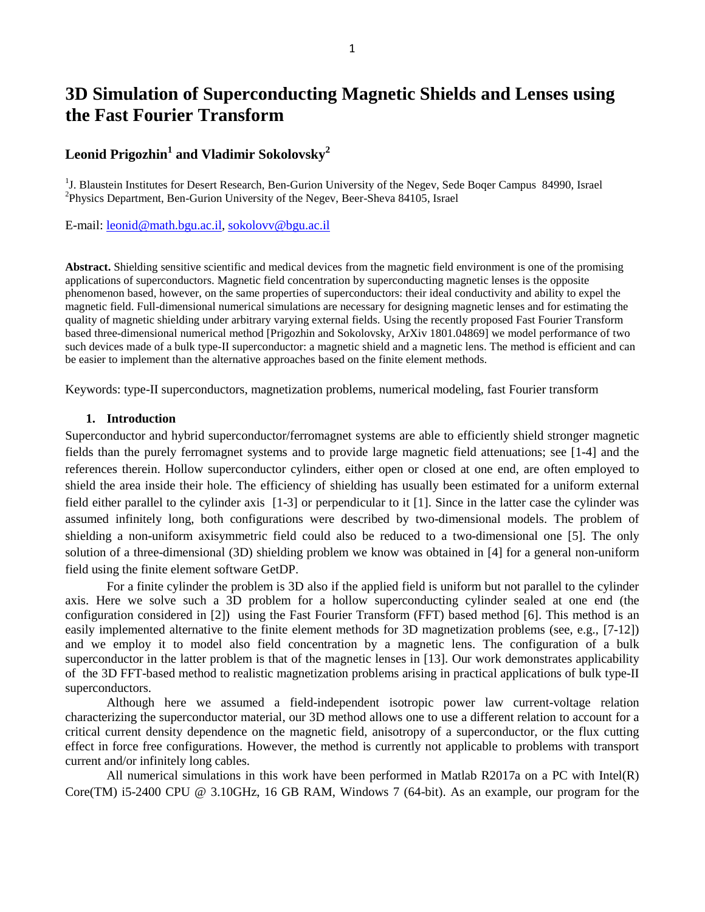# **3D Simulation of Superconducting Magnetic Shields and Lenses using the Fast Fourier Transform**

# **Leonid Prigozhin<sup>1</sup> and Vladimir Sokolovsky<sup>2</sup>**

<sup>1</sup>J. Blaustein Institutes for Desert Research, Ben-Gurion University of the Negev, Sede Boqer Campus 84990, Israel <sup>2</sup>Physics Department, Ben-Gurion University of the Negev, Beer-Sheva 84105, Israel

E-mail: [leonid@math.bgu.ac.il,](mailto:leonid@math.bgu.ac.il) [sokolovv@bgu.ac.il](mailto:sokolovv@bgu.ac.il)

**Abstract.** Shielding sensitive scientific and medical devices from the magnetic field environment is one of the promising applications of superconductors. Magnetic field concentration by superconducting magnetic lenses is the opposite phenomenon based, however, on the same properties of superconductors: their ideal conductivity and ability to expel the magnetic field. Full-dimensional numerical simulations are necessary for designing magnetic lenses and for estimating the quality of magnetic shielding under arbitrary varying external fields. Using the recently proposed Fast Fourier Transform based three-dimensional numerical method [Prigozhin and Sokolovsky, ArXiv 1801.04869] we model performance of two such devices made of a bulk type-II superconductor: a magnetic shield and a magnetic lens. The method is efficient and can be easier to implement than the alternative approaches based on the finite element methods.

Keywords: type-II superconductors, magnetization problems, numerical modeling, fast Fourier transform

### **1. Introduction**

Superconductor and hybrid superconductor/ferromagnet systems are able to efficiently shield stronger magnetic fields than the purely ferromagnet systems and to provide large magnetic field attenuations; see [\[1-4\]](#page-6-0) and the references therein. Hollow superconductor cylinders, either open or closed at one end, are often employed to shield the area inside their hole. The efficiency of shielding has usually been estimated for a uniform external field either parallel to the cylinder axis [\[1-3\]](#page-6-0) or perpendicular to it [\[1\]](#page-6-0). Since in the latter case the cylinder was assumed infinitely long, both configurations were described by two-dimensional models. The problem of shielding a non-uniform axisymmetric field could also be reduced to a two-dimensional one [\[5\]](#page-6-1). The only solution of a three-dimensional (3D) shielding problem we know was obtained in [\[4\]](#page-6-2) for a general non-uniform field using the finite element software GetDP.

For a finite cylinder the problem is 3D also if the applied field is uniform but not parallel to the cylinder axis. Here we solve such a 3D problem for a hollow superconducting cylinder sealed at one end (the configuration considered in [\[2\]](#page-6-3)) using the Fast Fourier Transform (FFT) based method [\[6\]](#page-6-4). This method is an easily implemented alternative to the finite element methods for 3D magnetization problems (see, e.g., [\[7-12\]](#page-6-5)) and we employ it to model also field concentration by a magnetic lens. The configuration of a bulk superconductor in the latter problem is that of the magnetic lenses in [\[13\]](#page-6-6). Our work demonstrates applicability of the 3D FFT-based method to realistic magnetization problems arising in practical applications of bulk type-II superconductors.

Although here we assumed a field-independent isotropic power law current-voltage relation characterizing the superconductor material, our 3D method allows one to use a different relation to account for a critical current density dependence on the magnetic field, anisotropy of a superconductor, or the flux cutting effect in force free configurations. However, the method is currently not applicable to problems with transport current and/or infinitely long cables.

All numerical simulations in this work have been performed in Matlab R2017a on a PC with Intel(R) Core(TM) i5-2400 CPU @ 3.10GHz, 16 GB RAM, Windows 7 (64-bit). As an example, our program for the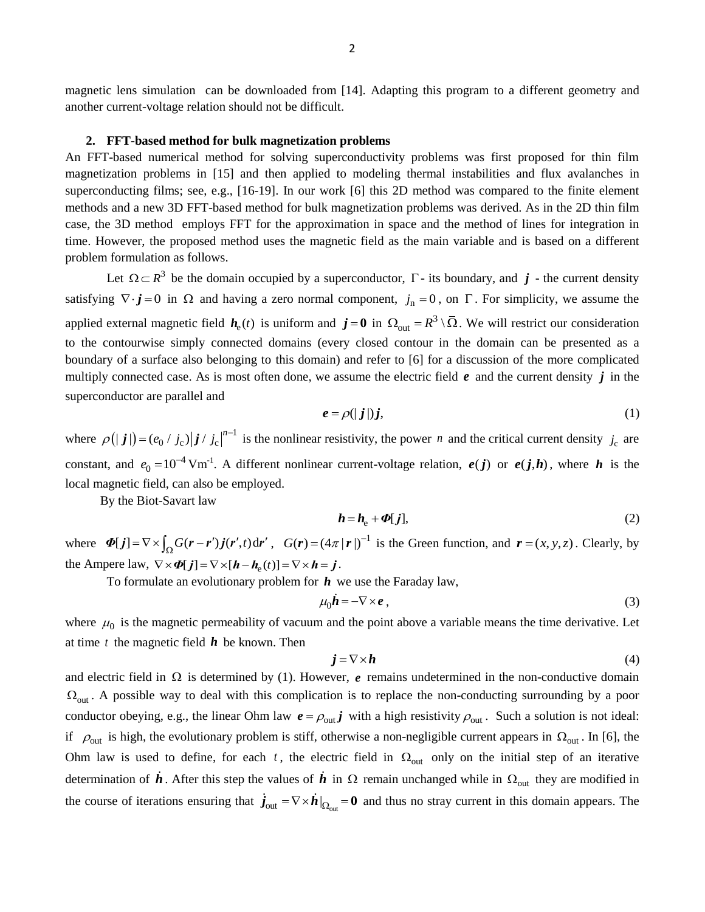#### **2. FFT-based method for bulk magnetization problems**

An FFT-based numerical method for solving superconductivity problems was first proposed for thin film magnetization problems in [\[15\]](#page-6-8) and then applied to modeling thermal instabilities and flux avalanches in superconducting films; see, e.g., [\[16-19\]](#page-6-9). In our work [\[6\]](#page-6-4) this 2D method was compared to the finite element methods and a new 3D FFT-based method for bulk magnetization problems was derived. As in the 2D thin film case, the 3D method employs FFT for the approximation in space and the method of lines for integration in time. However, the proposed method uses the magnetic field as the main variable and is based on a different problem formulation as follows.

Let  $\Omega \subset R^3$  be the domain occupied by a superconductor,  $\Gamma$ - its boundary, and  $j$ - the current density satisfying  $\nabla \cdot \mathbf{j} = 0$  in  $\Omega$  and having a zero normal component,  $j_n = 0$ , on  $\Gamma$ . For simplicity, we assume the applied external magnetic field  $h_e(t)$  is uniform and  $j = 0$  in  $\Omega_{out} = R^3 \setminus \overline{\Omega}$ . We will restrict our consideration to the contourwise simply connected domains (every closed contour in the domain can be presented as a boundary of a surface also belonging to this domain) and refer to [\[6\]](#page-6-4) for a discussion of the more complicated multiply connected case. As is most often done, we assume the electric field  $e$  and the current density  $j$  in the superconductor are parallel and

$$
e = \rho(|j|)j,\tag{1}
$$

where  $\rho(|j|) = (e_0 / j_c)|j / j_c|^{n-1}$  is the nonlinear resistivity, the power *n* and the critical current density  $j_c$  are constant, and  $e_0 = 10^{-4}$  $e_0 = 10^{-4}$  Vm<sup>-1</sup>. A different nonlinear current-voltage relation,  $e(j)$  or  $e(j,h)$ , where h is the local magnetic field, can also be employed.

By the Biot-Savart law

$$
h = h_{\rm e} + \Phi[j],\tag{2}
$$

where  $\Phi[j] = \nabla \times \int_{\Omega} G(r - r^{i}) j(r^{i}, t) dr^{i}$ ,  $G(r) = (4\pi |r|)^{-1}$  is the Green function, and  $r = (x, y, z)$ . Clearly, by the Ampere law,  $\nabla \times \Phi[j] = \nabla \times [h - h_e(t)] = \nabla \times h = j$ .

To formulate an evolutionary problem for *h* we use the Faraday law,

$$
\mu_0 \dot{\boldsymbol{h}} = -\nabla \times \boldsymbol{e} \,, \tag{3}
$$

where  $\mu_0$  is the magnetic permeability of vacuum and the point above a variable means the time derivative. Let at time  $t$  the magnetic field  $h$  be known. Then

$$
\mathbf{j} = \nabla \times \mathbf{h} \tag{4}
$$

and electric field in  $\Omega$  is determined by (1). However,  $e$  remains undetermined in the non-conductive domain  $\Omega_{\text{out}}$ . A possible way to deal with this complication is to replace the non-conducting surrounding by a poor conductor obeying, e.g., the linear Ohm law  $e = \rho_{out} j$  with a high resistivity  $\rho_{out}$ . Such a solution is not ideal: if  $\rho_{\text{out}}$  is high, the evolutionary problem is stiff, otherwise a non-negligible current appears in  $\Omega_{\text{out}}$ . In [\[6\]](#page-6-4), the Ohm law is used to define, for each  $t$ , the electric field in  $\Omega_{\text{out}}$  only on the initial step of an iterative determination of  $\hat{h}$ . After this step the values of  $\hat{h}$  in  $\Omega$  remain unchanged while in  $\Omega_{out}$  they are modified in the course of iterations ensuring that  $\dot{j}_{\text{out}} = \nabla \times \dot{h}|_{\Omega_{\text{out}}} = \mathbf{0}$  and thus no stray current in this domain appears. The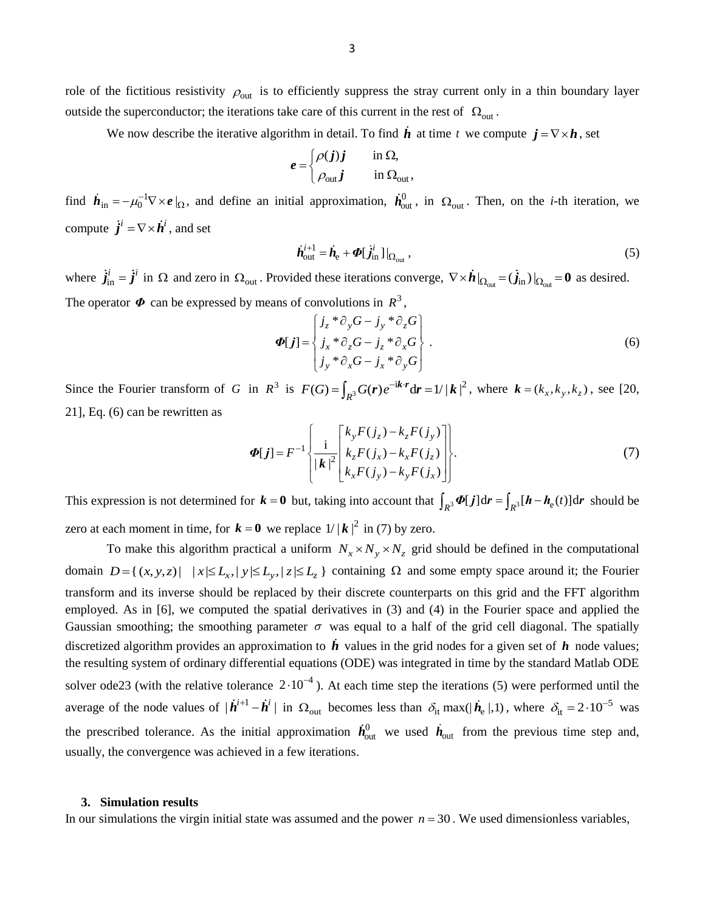role of the fictitious resistivity  $\rho_{\text{out}}$  is to efficiently suppress the stray current only in a thin boundary layer outside the superconductor; the iterations take care of this current in the rest of  $\Omega_{\text{out}}$ .

We now describe the iterative algorithm in detail. To find  $\vec{h}$  at time t we compute  $j = \nabla \times \vec{h}$ , set

$$
e = \begin{cases} \rho(j)j & \text{in } \Omega, \\ \rho_{\text{out}}j & \text{in } \Omega_{\text{out}}, \end{cases}
$$

find  $\dot{\mathbf{h}}_{in} = -\mu_0^{-1} \nabla \times \mathbf{e} \mid_{\Omega}$ , and define an initial approximation,  $\dot{\mathbf{h}}_{out}^0$ , in  $\Omega_{out}$ . Then, on the *i*-th iteration, we compute  $\dot{j}^i = \nabla \times \dot{h}^i$ , and set

$$
\dot{\boldsymbol{h}}_{\text{out}}^{i+1} = \dot{\boldsymbol{h}}_{\text{e}} + \boldsymbol{\Phi}[\dot{\boldsymbol{j}}_{\text{in}}^{i}]|_{\Omega_{\text{out}}},\tag{5}
$$

where  $\dot{j}_{\text{in}}^i = \dot{j}^i$  in  $\Omega$  and zero in  $\Omega_{\text{out}}$ . Provided these iterations converge,  $\nabla \times \dot{\boldsymbol{h}}|_{\Omega_{\text{out}}} = (\dot{j}_{\text{in}})|_{\Omega_{\text{out}}} = \mathbf{0}$  as desired. The operator  $\Phi$  can be expressed by means of convolutions in  $R^3$ ,

$$
\Phi[j] = \begin{cases} j_z * \partial_y G - j_y * \partial_z G \\ j_x * \partial_z G - j_z * \partial_x G \\ j_y * \partial_x G - j_x * \partial_y G \end{cases} . \tag{6}
$$

Since the Fourier transform of G in  $R^3$  is  $F(G) = \int_{R^3} G(r) e^{-ik \cdot r} dr = 1/|k|^2$ , where  $k = (k_x, k_y, k_z)$ , see [\[20,](#page-6-10) [21\]](#page-6-11), Eq. (6) can be rewritten as

$$
\Phi[j] = F^{-1} \left\{ \frac{i}{|\mathbf{k}|^2} \begin{bmatrix} k_y F(j_z) - k_z F(j_y) \\ k_z F(j_x) - k_x F(j_z) \\ k_x F(j_y) - k_y F(j_x) \end{bmatrix} \right\}.
$$
\n(7)

This expression is not determined for  $\mathbf{k} = \mathbf{0}$  but, taking into account that  $\int_{R^3} \Phi[j] dr = \int_{R^3} [\mathbf{h} - \mathbf{h}_e(t)] dr$  should be zero at each moment in time, for  $\mathbf{k} = \mathbf{0}$  we replace  $1/|\mathbf{k}|^2$  in (7) by zero.

To make this algorithm practical a uniform  $N_x \times N_y \times N_z$  grid should be defined in the computational To make this algorithm practical a uniform  $N_x \times N_y \times N_z$  grid should be defined in the computational domain  $D = \{(x, y, z) | |x| \le L_x, |y| \le L_y, |z| \le L_z\}$  containing  $\Omega$  and some empty space around it; the Fourier transform and its inverse should be replaced by their discrete counterparts on this grid and the FFT algorithm employed. As in [\[6\]](#page-6-4), we computed the spatial derivatives in (3) and (4) in the Fourier space and applied the Gaussian smoothing; the smoothing parameter  $\sigma$  was equal to a half of the grid cell diagonal. The spatially discretized algorithm provides an approximation to  $\vec{h}$  values in the grid nodes for a given set of  $h$  node values; the resulting system of ordinary differential equations (ODE) was integrated in time by the standard Matlab ODE solver ode23 (with the relative tolerance  $2 \cdot 10^{-4}$ ). At each time step the iterations (5) were performed until the average of the node values of  $|\dot{\textbf{h}}^{i+1} - \dot{\textbf{h}}^i|$  in  $\Omega_{\text{out}}$  becomes less than  $\delta_{\text{it}}$  max(| $\dot{\textbf{h}}_e$ |,1), where  $\delta_{\text{it}} = 2 \cdot 10^{-5}$  was the prescribed tolerance. As the initial approximation  $h_{\text{out}}^0$  we used  $h_{\text{out}}$  from the previous time step and, usually, the convergence was achieved in a few iterations.

#### **3. Simulation results**

In our simulations the virgin initial state was assumed and the power  $n = 30$ . We used dimensionless variables,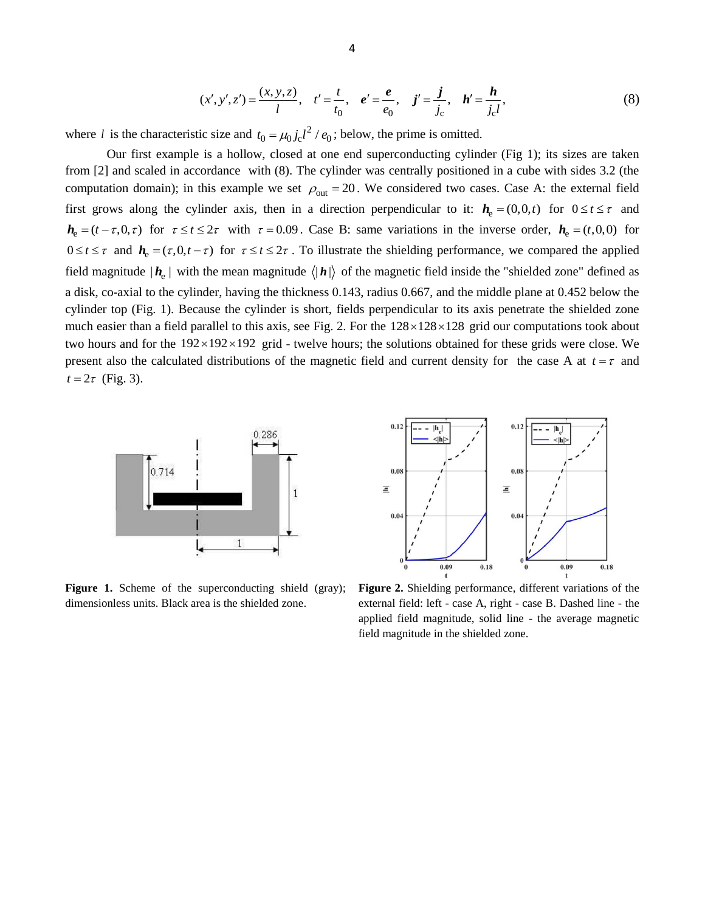$$
(x', y', z') = \frac{(x, y, z)}{l}, \quad t' = \frac{t}{t_0}, \quad e' = \frac{e}{e_0}, \quad j' = \frac{j}{j_c}, \quad h' = \frac{h}{j_c l},
$$
(8)

where *l* is the characteristic size and  $t_0 = \mu_0 j_c l^2 / e_0$ ; below, the prime is omitted.

Our first example is a hollow, closed at one end superconducting cylinder (Fig 1); its sizes are taken from [\[2\]](#page-6-3) and scaled in accordance with (8). The cylinder was centrally positioned in a cube with sides 3.2 (the computation domain); in this example we set  $\rho_{\text{out}} = 20$ . We considered two cases. Case A: the external field first grows along the cylinder axis, then in a direction perpendicular to it:  $h_e = (0,0,t)$  for  $0 \le t \le \tau$  and  $h_e = (t - \tau, 0, \tau)$  for  $\tau \le t \le 2\tau$  with  $\tau = 0.09$ . Case B: same variations in the inverse order,  $h_e = (t, 0, 0)$  for  $0 \le t \le \tau$  and  $h_e = (\tau, 0, t - \tau)$  for  $\tau \le t \le 2\tau$ . To illustrate the shielding performance, we compared the applied field magnitude  $|h_e|$  with the mean magnitude  $\langle|h|\rangle$  of the magnetic field inside the "shielded zone" defined as a disk, co-axial to the cylinder, having the thickness 0.143, radius 0.667, and the middle plane at 0.452 below the cylinder top (Fig. 1). Because the cylinder is short, fields perpendicular to its axis penetrate the shielded zone much easier than a field parallel to this axis, see Fig. 2. For the  $128 \times 128 \times 128$  grid our computations took about two hours and for the  $192 \times 192 \times 192$  grid - twelve hours; the solutions obtained for these grids were close. We present also the calculated distributions of the magnetic field and current density for the case A at  $t = \tau$  and  $t = 2\tau$  (Fig. 3).



Figure 1. Scheme of the superconducting shield (gray); dimensionless units. Black area is the shielded zone.



**Figure 2.** Shielding performance, different variations of the external field: left - case A, right - case B. Dashed line - the applied field magnitude, solid line - the average magnetic field magnitude in the shielded zone.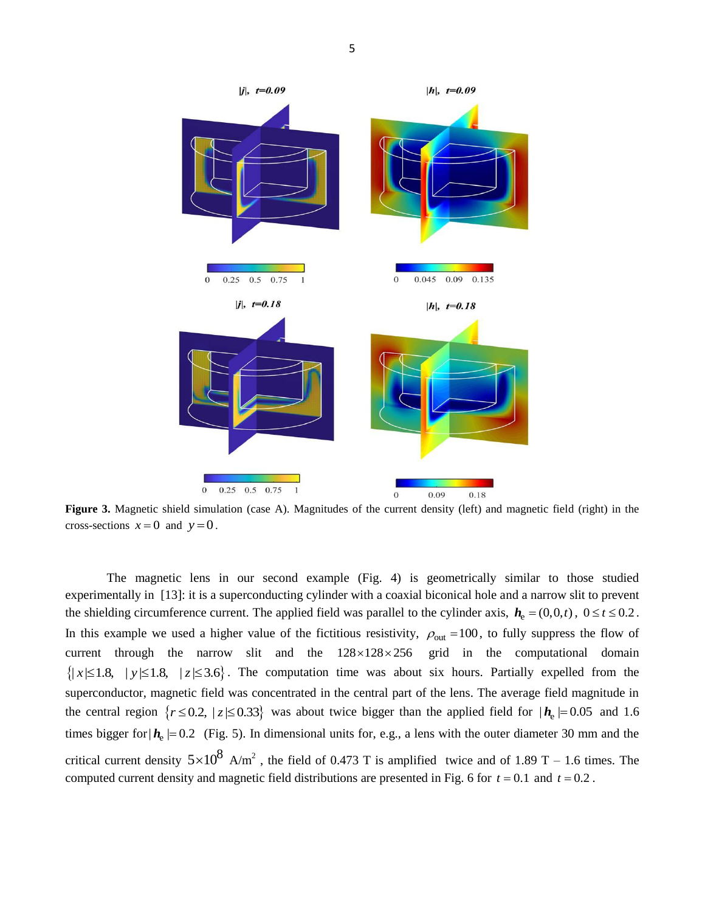

**Figure 3.** Magnetic shield simulation (case A). Magnitudes of the current density (left) and magnetic field (right) in the cross-sections  $x=0$  and  $y=0$ .

The magnetic lens in our second example (Fig. 4) is geometrically similar to those studied experimentally in [\[13\]](#page-6-6): it is a superconducting cylinder with a coaxial biconical hole and a narrow slit to prevent the shielding circumference current. The applied field was parallel to the cylinder axis,  $h_e = (0,0,t)$ ,  $0 \le t \le 0.2$ . In this example we used a higher value of the fictitious resistivity,  $\rho_{\text{out}} = 100$ , to fully suppress the flow of current through the narrow slit and the  $128 \times 128 \times 256$  grid in the computational domain  $\{|x| \leq 1.8, |y| \leq 1.8, |z| \leq 3.6\}$ . The computation time was about six hours. Partially expelled from the superconductor, magnetic field was concentrated in the central part of the lens. The average field magnitude in the central region  $\{r \le 0.2, |z| \le 0.33\}$  was about twice bigger than the applied field for  $|h_e| = 0.05$  and 1.6 times bigger for  $h_e$  = 0.2 (Fig. 5). In dimensional units for, e.g., a lens with the outer diameter 30 mm and the critical current density  $5\times10^8$  A/m<sup>2</sup>, the field of 0.473 T is amplified twice and of 1.89 T – 1.6 times. The computed current density and magnetic field distributions are presented in Fig. 6 for  $t = 0.1$  and  $t = 0.2$ .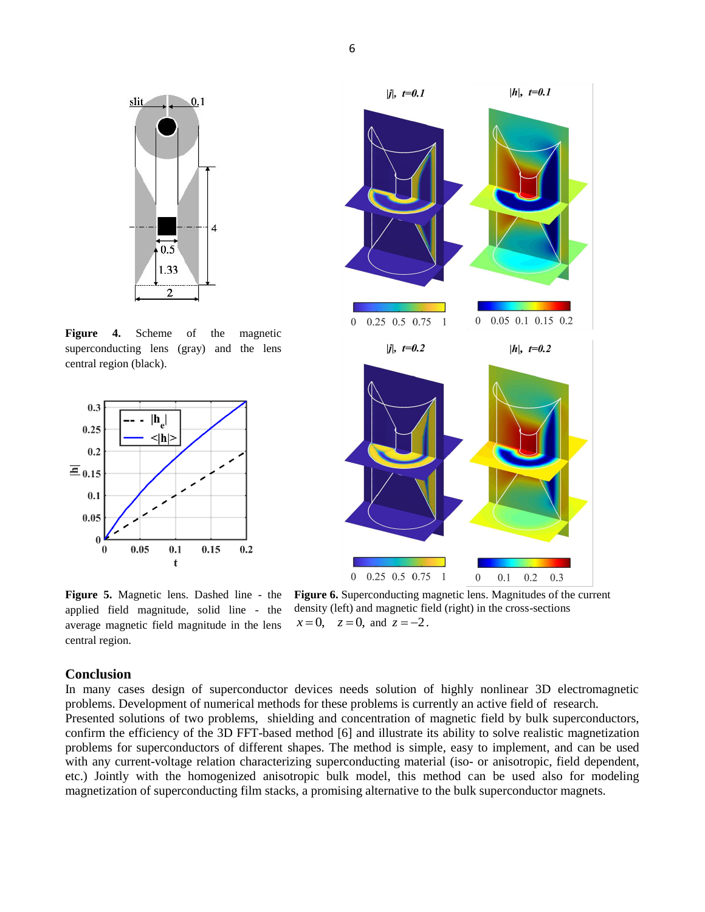

**Figure 4.** Scheme of the magnetic superconducting lens (gray) and the lens central region (black).



**Figure 5.** Magnetic lens. Dashed line - the applied field magnitude, solid line - the average magnetic field magnitude in the lens central region.



**Figure 6.** Superconducting magnetic lens. Magnitudes of the current density (left) and magnetic field (right) in the cross-sections  $x=0$ ,  $z=0$ , and  $z=-2$ .

### **Conclusion**

In many cases design of superconductor devices needs solution of highly nonlinear 3D electromagnetic problems. Development of numerical methods for these problems is currently an active field of research. Presented solutions of two problems, shielding and concentration of magnetic field by bulk superconductors, confirm the efficiency of the 3D FFT-based method [\[6\]](#page-6-4) and illustrate its ability to solve realistic magnetization problems for superconductors of different shapes. The method is simple, easy to implement, and can be used with any current-voltage relation characterizing superconducting material (iso- or anisotropic, field dependent, etc.) Jointly with the homogenized anisotropic bulk model, this method can be used also for modeling magnetization of superconducting film stacks, a promising alternative to the bulk superconductor magnets.